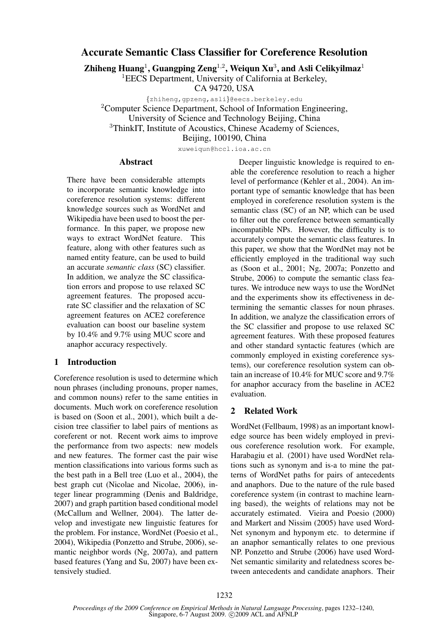# **Accurate Semantic Class Classifier for Coreference Resolution**

**Zhiheng Huang**<sup>1</sup> **, Guangping Zeng**<sup>1</sup>,<sup>2</sup> **, Weiqun Xu**<sup>3</sup> **, and Asli Celikyilmaz**<sup>1</sup>

<sup>1</sup>EECS Department, University of California at Berkeley,

CA 94720, USA

{zhiheng,gpzeng,asli}@eecs.berkeley.edu <sup>2</sup>Computer Science Department, School of Information Engineering, University of Science and Technology Beijing, China <sup>3</sup>ThinkIT, Institute of Acoustics, Chinese Academy of Sciences,

Beijing, 100190, China

xuweiqun@hccl.ioa.ac.cn

### **Abstract**

There have been considerable attempts to incorporate semantic knowledge into coreference resolution systems: different knowledge sources such as WordNet and Wikipedia have been used to boost the performance. In this paper, we propose new ways to extract WordNet feature. This feature, along with other features such as named entity feature, can be used to build an accurate *semantic class* (SC) classifier. In addition, we analyze the SC classification errors and propose to use relaxed SC agreement features. The proposed accurate SC classifier and the relaxation of SC agreement features on ACE2 coreference evaluation can boost our baseline system by 10.4% and 9.7% using MUC score and anaphor accuracy respectively.

# **1 Introduction**

Coreference resolution is used to determine which noun phrases (including pronouns, proper names, and common nouns) refer to the same entities in documents. Much work on coreference resolution is based on (Soon et al., 2001), which built a decision tree classifier to label pairs of mentions as coreferent or not. Recent work aims to improve the performance from two aspects: new models and new features. The former cast the pair wise mention classifications into various forms such as the best path in a Bell tree (Luo et al., 2004), the best graph cut (Nicolae and Nicolae, 2006), integer linear programming (Denis and Baldridge, 2007) and graph partition based conditional model (McCallum and Wellner, 2004). The latter develop and investigate new linguistic features for the problem. For instance, WordNet (Poesio et al., 2004), Wikipedia (Ponzetto and Strube, 2006), semantic neighbor words (Ng, 2007a), and pattern based features (Yang and Su, 2007) have been extensively studied.

Deeper linguistic knowledge is required to enable the coreference resolution to reach a higher level of performance (Kehler et al., 2004). An important type of semantic knowledge that has been employed in coreference resolution system is the semantic class (SC) of an NP, which can be used to filter out the coreference between semantically incompatible NPs. However, the difficulty is to accurately compute the semantic class features. In this paper, we show that the WordNet may not be efficiently employed in the traditional way such as (Soon et al., 2001; Ng, 2007a; Ponzetto and Strube, 2006) to compute the semantic class features. We introduce new ways to use the WordNet and the experiments show its effectiveness in determining the semantic classes for noun phrases. In addition, we analyze the classification errors of the SC classifier and propose to use relaxed SC agreement features. With these proposed features and other standard syntactic features (which are commonly employed in existing coreference systems), our coreference resolution system can obtain an increase of 10.4% for MUC score and 9.7% for anaphor accuracy from the baseline in ACE2 evaluation.

### **2 Related Work**

WordNet (Fellbaum, 1998) as an important knowledge source has been widely employed in previous coreference resolution work. For example, Harabagiu et al. (2001) have used WordNet relations such as synonym and is-a to mine the patterns of WordNet paths for pairs of antecedents and anaphors. Due to the nature of the rule based coreference system (in contrast to machine learning based), the weights of relations may not be accurately estimated. Vieira and Poesio (2000) and Markert and Nissim (2005) have used Word-Net synonym and hyponym etc. to determine if an anaphor semantically relates to one previous NP. Ponzetto and Strube (2006) have used Word-Net semantic similarity and relatedness scores between antecedents and candidate anaphors. Their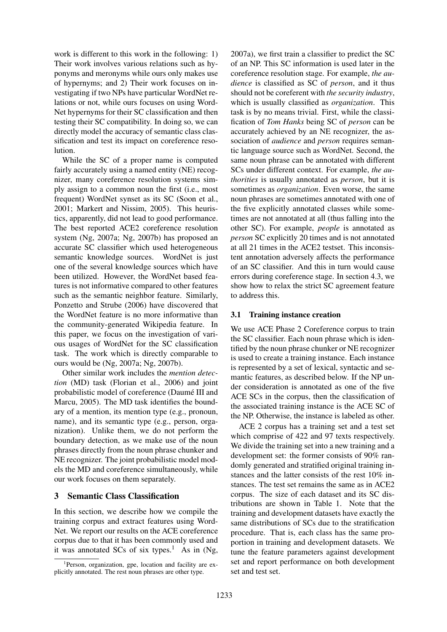work is different to this work in the following: 1) Their work involves various relations such as hyponyms and meronyms while ours only makes use of hypernyms; and 2) Their work focuses on investigating if two NPs have particular WordNet relations or not, while ours focuses on using Word-Net hypernyms for their SC classification and then testing their SC compatibility. In doing so, we can directly model the accuracy of semantic class classification and test its impact on coreference resolution.

While the SC of a proper name is computed fairly accurately using a named entity (NE) recognizer, many coreference resolution systems simply assign to a common noun the first (i.e., most frequent) WordNet synset as its SC (Soon et al., 2001; Markert and Nissim, 2005). This heuristics, apparently, did not lead to good performance. The best reported ACE2 coreference resolution system (Ng, 2007a; Ng, 2007b) has proposed an accurate SC classifier which used heterogeneous semantic knowledge sources. WordNet is just one of the several knowledge sources which have been utilized. However, the WordNet based features is not informative compared to other features such as the semantic neighbor feature. Similarly, Ponzetto and Strube (2006) have discovered that the WordNet feature is no more informative than the community-generated Wikipedia feature. In this paper, we focus on the investigation of various usages of WordNet for the SC classification task. The work which is directly comparable to ours would be (Ng, 2007a; Ng, 2007b).

Other similar work includes the *mention detection* (MD) task (Florian et al., 2006) and joint probabilistic model of coreference (Daumé III and Marcu, 2005). The MD task identifies the boundary of a mention, its mention type (e.g., pronoun, name), and its semantic type (e.g., person, organization). Unlike them, we do not perform the boundary detection, as we make use of the noun phrases directly from the noun phrase chunker and NE recognizer. The joint probabilistic model models the MD and coreference simultaneously, while our work focuses on them separately.

# **3 Semantic Class Classification**

In this section, we describe how we compile the training corpus and extract features using Word-Net. We report our results on the ACE coreference corpus due to that it has been commonly used and it was annotated SCs of six types.<sup>1</sup> As in  $(Ng)$ ,

2007a), we first train a classifier to predict the SC of an NP. This SC information is used later in the coreference resolution stage. For example, *the audience* is classified as SC of *person*, and it thus should not be coreferent with *the security industry*, which is usually classified as *organization*. This task is by no means trivial. First, while the classification of *Tom Hanks* being SC of *person* can be accurately achieved by an NE recognizer, the association of *audience* and *person* requires semantic language source such as WordNet. Second, the same noun phrase can be annotated with different SCs under different context. For example, *the authorities* is usually annotated as *person*, but it is sometimes as *organization*. Even worse, the same noun phrases are sometimes annotated with one of the five explicitly annotated classes while sometimes are not annotated at all (thus falling into the other SC). For example, *people* is annotated as *person* SC explicitly 20 times and is not annotated at all 21 times in the ACE2 testset. This inconsistent annotation adversely affects the performance of an SC classifier. And this in turn would cause errors during coreference stage. In section 4.3, we show how to relax the strict SC agreement feature to address this.

### **3.1 Training instance creation**

We use ACE Phase 2 Coreference corpus to train the SC classifier. Each noun phrase which is identified by the noun phrase chunker or NE recognizer is used to create a training instance. Each instance is represented by a set of lexical, syntactic and semantic features, as described below. If the NP under consideration is annotated as one of the five ACE SCs in the corpus, then the classification of the associated training instance is the ACE SC of the NP. Otherwise, the instance is labeled as other.

ACE 2 corpus has a training set and a test set which comprise of 422 and 97 texts respectively. We divide the training set into a new training and a development set: the former consists of 90% randomly generated and stratified original training instances and the latter consists of the rest 10% instances. The test set remains the same as in ACE2 corpus. The size of each dataset and its SC distributions are shown in Table 1. Note that the training and development datasets have exactly the same distributions of SCs due to the stratification procedure. That is, each class has the same proportion in training and development datasets. We tune the feature parameters against development set and report performance on both development set and test set.

<sup>&</sup>lt;sup>1</sup>Person, organization, gpe, location and facility are explicitly annotated. The rest noun phrases are other type.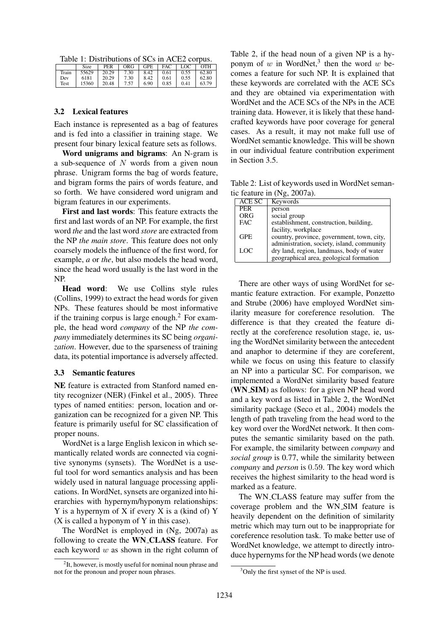Table 1: Distributions of SCs in ACE2 corpus.

|       | Size  | PER   | ORG  | GPE  | FAC  | $\overline{C}$ | <b>OTH</b> |
|-------|-------|-------|------|------|------|----------------|------------|
| Train | 55629 | 20.29 | 7.30 | 8.42 | 0.61 | 0.55           | 62.80      |
| Dev   | 6181  | 20.29 | 7.30 | 8.42 | 0.61 | 0.55           | 62.80      |
| Test  | 15360 | 20.48 | 7.57 | 6.90 | 0.85 | 0.41           | 63.79      |

#### **3.2 Lexical features**

Each instance is represented as a bag of features and is fed into a classifier in training stage. We present four binary lexical feature sets as follows.

**Word unigrams and bigrams**: An N-gram is a sub-sequence of  $N$  words from a given noun phrase. Unigram forms the bag of words feature, and bigram forms the pairs of words feature, and so forth. We have considered word unigram and bigram features in our experiments.

**First and last words**: This feature extracts the first and last words of an NP. For example, the first word *the* and the last word *store* are extracted from the NP *the main store*. This feature does not only coarsely models the influence of the first word, for example, *a* or *the*, but also models the head word, since the head word usually is the last word in the NP.

**Head word**: We use Collins style rules (Collins, 1999) to extract the head words for given NPs. These features should be most informative if the training corpus is large enough.<sup>2</sup> For example, the head word *company* of the NP *the company* immediately determines its SC being *organization*. However, due to the sparseness of training data, its potential importance is adversely affected.

### **3.3 Semantic features**

**NE** feature is extracted from Stanford named entity recognizer (NER) (Finkel et al., 2005). Three types of named entities: person, location and organization can be recognized for a given NP. This feature is primarily useful for SC classification of proper nouns.

WordNet is a large English lexicon in which semantically related words are connected via cognitive synonyms (synsets). The WordNet is a useful tool for word semantics analysis and has been widely used in natural language processing applications. In WordNet, synsets are organized into hierarchies with hypernym/hyponym relationships: Y is a hypernym of X if every X is a (kind of) Y (X is called a hyponym of Y in this case).

The WordNet is employed in (Ng, 2007a) as following to create the **WN CLASS** feature. For each keyword  $w$  as shown in the right column of Table 2, if the head noun of a given NP is a hyponym of w in WordNet,<sup>3</sup> then the word w becomes a feature for such NP. It is explained that these keywords are correlated with the ACE SCs and they are obtained via experimentation with WordNet and the ACE SCs of the NPs in the ACE training data. However, it is likely that these handcrafted keywords have poor coverage for general cases. As a result, it may not make full use of WordNet semantic knowledge. This will be shown in our individual feature contribution experiment in Section 3.5.

Table 2: List of keywords used in WordNet semantic feature in (Ng, 2007a).

| ACE SC     | Keywords                                   |
|------------|--------------------------------------------|
| <b>PER</b> | person                                     |
| <b>ORG</b> | social group                               |
| <b>FAC</b> | establishment, construction, building,     |
|            | facility, workplace                        |
| <b>GPE</b> | country, province, government, town, city, |
|            | administration, society, island, community |
| LOC        | dry land, region, landmass, body of water  |
|            | geographical area, geological formation    |

There are other ways of using WordNet for semantic feature extraction. For example, Ponzetto and Strube (2006) have employed WordNet similarity measure for coreference resolution. The difference is that they created the feature directly at the coreference resolution stage, ie, using the WordNet similarity between the antecedent and anaphor to determine if they are coreferent, while we focus on using this feature to classify an NP into a particular SC. For comparison, we implemented a WordNet similarity based feature (**WN SIM**) as follows: for a given NP head word and a key word as listed in Table 2, the WordNet similarity package (Seco et al., 2004) models the length of path traveling from the head word to the key word over the WordNet network. It then computes the semantic similarity based on the path. For example, the similarity between *company* and *social group* is 0.77, while the similarity between *company* and *person* is 0.59. The key word which receives the highest similarity to the head word is marked as a feature.

The WN CLASS feature may suffer from the coverage problem and the WN SIM feature is heavily dependent on the definition of similarity metric which may turn out to be inappropriate for coreference resolution task. To make better use of WordNet knowledge, we attempt to directly introduce hypernyms for the NP head words (we denote

<sup>&</sup>lt;sup>2</sup>It, however, is mostly useful for nominal noun phrase and not for the pronoun and proper noun phrases.

<sup>&</sup>lt;sup>3</sup>Only the first synset of the NP is used.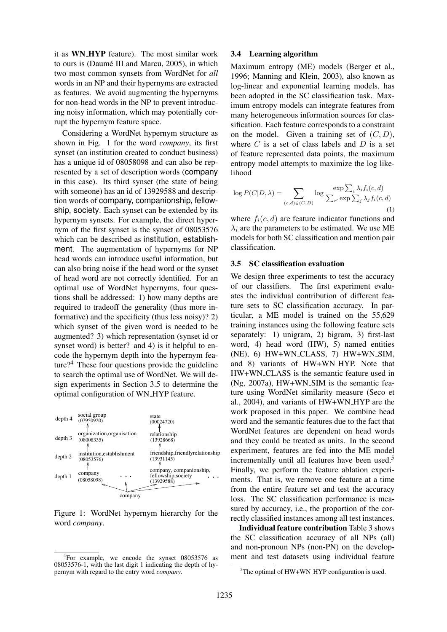it as **WN HYP** feature). The most similar work to ours is (Daumé III and Marcu, 2005), in which two most common synsets from WordNet for *all* words in an NP and their hypernyms are extracted as features. We avoid augmenting the hypernyms for non-head words in the NP to prevent introducing noisy information, which may potentially corrupt the hypernym feature space.

Considering a WordNet hypernym structure as shown in Fig. 1 for the word *company*, its first synset (an institution created to conduct business) has a unique id of 08058098 and can also be represented by a set of description words (company in this case). Its third synset (the state of being with someone) has an id of 13929588 and description words of company, companionship, fellowship, society. Each synset can be extended by its hypernym synsets. For example, the direct hypernym of the first synset is the synset of 08053576 which can be described as institution, establishment. The augmentation of hypernyms for NP head words can introduce useful information, but can also bring noise if the head word or the synset of head word are not correctly identified. For an optimal use of WordNet hypernyms, four questions shall be addressed: 1) how many depths are required to tradeoff the generality (thus more informative) and the specificity (thus less noisy)? 2) which synset of the given word is needed to be augmented? 3) which representation (synset id or synset word) is better? and 4) is it helpful to encode the hypernym depth into the hypernym feature?<sup>4</sup> These four questions provide the guideline to search the optimal use of WordNet. We will design experiments in Section 3.5 to determine the optimal configuration of WN HYP feature.



Figure 1: WordNet hypernym hierarchy for the word *company*.

#### **3.4 Learning algorithm**

Maximum entropy (ME) models (Berger et al., 1996; Manning and Klein, 2003), also known as log-linear and exponential learning models, has been adopted in the SC classification task. Maximum entropy models can integrate features from many heterogeneous information sources for classification. Each feature corresponds to a constraint on the model. Given a training set of  $(C, D)$ , where  $C$  is a set of class labels and  $D$  is a set of feature represented data points, the maximum entropy model attempts to maximize the log likelihood

$$
\log P(C|D,\lambda) = \sum_{(c,d)\in(C,D)} \log \frac{\exp \sum_{i} \lambda_i f_i(c,d)}{\sum_{c'} \exp \sum_{j} \lambda_j f_i(c,d)}
$$
(1)

where  $f_i(c, d)$  are feature indicator functions and  $\lambda_i$  are the parameters to be estimated. We use ME models for both SC classification and mention pair classification.

### **3.5 SC classification evaluation**

We design three experiments to test the accuracy of our classifiers. The first experiment evaluates the individual contribution of different feature sets to SC classification accuracy. In particular, a ME model is trained on the 55,629 training instances using the following feature sets separately: 1) unigram, 2) bigram, 3) first-last word, 4) head word (HW), 5) named entities (NE), 6) HW+WN CLASS, 7) HW+WN SIM, and 8) variants of HW+WN HYP. Note that HW+WN CLASS is the semantic feature used in (Ng, 2007a), HW+WN SIM is the semantic feature using WordNet similarity measure (Seco et al., 2004), and variants of HW+WN HYP are the work proposed in this paper. We combine head word and the semantic features due to the fact that WordNet features are dependent on head words and they could be treated as units. In the second experiment, features are fed into the ME model incrementally until all features have been used.<sup>5</sup> Finally, we perform the feature ablation experiments. That is, we remove one feature at a time from the entire feature set and test the accuracy loss. The SC classification performance is measured by accuracy, i.e., the proportion of the correctly classified instances among all test instances.

**Individual feature contribution** Table 3 shows the SC classification accuracy of all NPs (all) and non-pronoun NPs (non-PN) on the development and test datasets using individual feature

<sup>4</sup> For example, we encode the synset 08053576 as 08053576-1, with the last digit 1 indicating the depth of hypernym with regard to the entry word *company*.

 $5$ The optimal of HW+WN\_HYP configuration is used.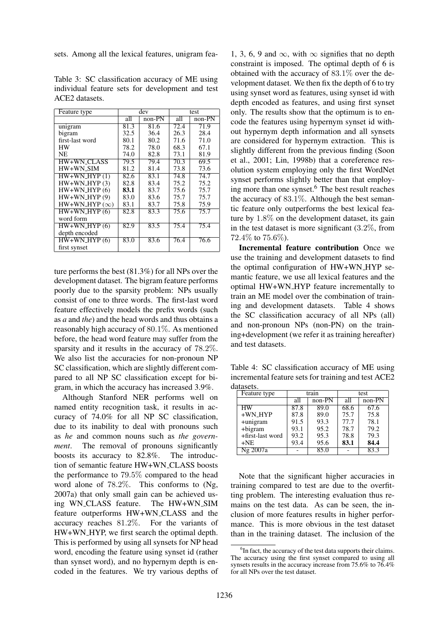sets. Among all the lexical features, unigram fea-

| Table 3: SC classification accuracy of ME using  |  |  |  |  |
|--------------------------------------------------|--|--|--|--|
| individual feature sets for development and test |  |  |  |  |
| ACE2 datasets.                                   |  |  |  |  |

| Feature type        |      | dev      | test |          |  |
|---------------------|------|----------|------|----------|--|
|                     | all  | $non-PN$ | all  | $non-PN$ |  |
| unigram             | 81.3 | 81.6     | 72.4 | 71.9     |  |
| bigram              | 32.5 | 36.4     | 26.3 | 28.4     |  |
| first-last word     | 80.1 | 80.2     | 71.6 | 71.0     |  |
| <b>HW</b>           | 78.2 | 78.0     | 68.3 | 67.1     |  |
| NE                  | 74.0 | 82.8     | 73.1 | 81.9     |  |
| <b>HW+WN_CLASS</b>  | 79.5 | 79.4     | 70.3 | 69.5     |  |
| $HW+WN$ SIM         | 81.2 | 81.4     | 73.8 | 73.6     |  |
| $HW+WN_HYP(1)$      | 82.6 | 83.1     | 74.8 | 74.7     |  |
| $HW+WN_HYP(3)$      | 82.8 | 83.4     | 75.2 | 75.2     |  |
| $HW+WN_HYP(6)$      | 83.1 | 83.7     | 75.6 | 75.7     |  |
| $HW+WN_HYP(9)$      | 83.0 | 83.6     | 75.7 | 75.7     |  |
| $HW+WN_HYP(\infty)$ | 83.1 | 83.7     | 75.8 | 75.9     |  |
| $HW+WN_HYP(6)$      | 82.8 | 83.3     | 75.6 | 75.7     |  |
| word form           |      |          |      |          |  |
| $HW+WN_HYP(6)$      | 82.9 | 83.5     | 75.4 | 75.4     |  |
| depth encoded       |      |          |      |          |  |
| $HW+WN_HYP(6)$      | 83.0 | 83.6     | 76.4 | 76.6     |  |
| first synset        |      |          |      |          |  |
|                     |      |          |      |          |  |

ture performs the best (81.3%) for all NPs over the development dataset. The bigram feature performs poorly due to the sparsity problem: NPs usually consist of one to three words. The first-last word feature effectively models the prefix words (such as *a* and *the*) and the head words and thus obtains a reasonably high accuracy of 80.1%. As mentioned before, the head word feature may suffer from the sparsity and it results in the accuracy of 78.2%. We also list the accuracies for non-pronoun NP SC classification, which are slightly different compared to all NP SC classification except for bigram, in which the accuracy has increased 3.9%.

Although Stanford NER performs well on named entity recognition task, it results in accuracy of 74.0% for all NP SC classification, due to its inability to deal with pronouns such as *he* and common nouns such as *the government*. The removal of pronouns significantly boosts its accuracy to 82.8%. The introduction of semantic feature HW+WN CLASS boosts the performance to 79.5% compared to the head word alone of 78.2%. This conforms to (Ng, 2007a) that only small gain can be achieved using WN CLASS feature. The HW+WN SIM feature outperforms HW+WN CLASS and the accuracy reaches 81.2%. For the variants of HW+WN HYP, we first search the optimal depth. This is performed by using all synsets for NP head word, encoding the feature using synset id (rather than synset word), and no hypernym depth is encoded in the features. We try various depths of

1, 3, 6, 9 and  $\infty$ , with  $\infty$  signifies that no depth constraint is imposed. The optimal depth of 6 is obtained with the accuracy of 83.1% over the development dataset. We then fix the depth of 6 to try using synset word as features, using synset id with depth encoded as features, and using first synset only. The results show that the optimum is to encode the features using hypernym synset id without hypernym depth information and all synsets are considered for hypernym extraction. This is slightly different from the previous finding (Soon et al., 2001; Lin, 1998b) that a coreference resolution system employing only the first WordNet synset performs slightly better than that employing more than one synset.<sup>6</sup> The best result reaches the accuracy of  $83.1\%$ . Although the best semantic feature only outperforms the best lexical feature by 1.8% on the development dataset, its gain in the test dataset is more significant  $(3.2\%$ , from 72.4\% to  $75.6\%$ ).

**Incremental feature contribution** Once we use the training and development datasets to find the optimal configuration of HW+WN HYP semantic feature, we use all lexical features and the optimal HW+WN HYP feature incrementally to train an ME model over the combination of training and development datasets. Table 4 shows the SC classification accuracy of all NPs (all) and non-pronoun NPs (non-PN) on the training+development (we refer it as training hereafter) and test datasets.

Table 4: SC classification accuracy of ME using incremental feature sets for training and test ACE2 datasets.

| Feature type     |      | train    | test |          |  |  |  |  |  |  |
|------------------|------|----------|------|----------|--|--|--|--|--|--|
|                  | all  | $non-PN$ | all  | $non-PN$ |  |  |  |  |  |  |
| HW               | 87.8 | 89.0     | 68.6 | 67.6     |  |  |  |  |  |  |
| $+WN$ HYP        | 87.8 | 89.0     | 75.7 | 75.8     |  |  |  |  |  |  |
| +unigram         | 91.5 | 93.3     | 77.7 | 78.1     |  |  |  |  |  |  |
| +bigram          | 93.1 | 95.2     | 78.7 | 79.2     |  |  |  |  |  |  |
| +first-last word | 93.2 | 95.3     | 78.8 | 79.3     |  |  |  |  |  |  |
| $+NE$            | 93.4 | 95.6     | 83.1 | 84.4     |  |  |  |  |  |  |
| Ng 2007a         |      | 85.0     |      | 83.3     |  |  |  |  |  |  |

Note that the significant higher accuracies in training compared to test are due to the overfitting problem. The interesting evaluation thus remains on the test data. As can be seen, the inclusion of more features results in higher performance. This is more obvious in the test dataset than in the training dataset. The inclusion of the

<sup>&</sup>lt;sup>6</sup>In fact, the accuracy of the test data supports their claims. The accuracy using the first synset compared to using all synsets results in the accuracy increase from 75.6% to 76.4% for all NPs over the test dataset.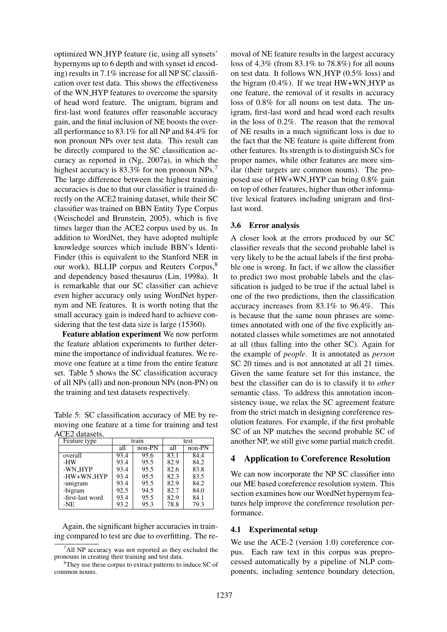optimized WN HYP feature (ie, using all synsets' hypernyms up to 6 depth and with synset id encoding) results in 7.1% increase for all NP SC classification over test data. This shows the effectiveness of the WN HYP features to overcome the sparsity of head word feature. The unigram, bigram and first-last word features offer reasonable accuracy gain, and the final inclusion of NE boosts the overall performance to 83.1% for all NP and 84.4% for non pronoun NPs over test data. This result can be directly compared to the SC classification accuracy as reported in (Ng, 2007a), in which the highest accuracy is 83.3% for non pronoun NPs.<sup>7</sup> The large difference between the highest training accuracies is due to that our classifier is trained directly on the ACE2 training dataset, while their SC classifier was trained on BBN Entity Type Corpus (Weischedel and Brunstein, 2005), which is five times larger than the ACE2 corpus used by us. In addition to WordNet, they have adopted multiple knowledge sources which include BBN's Identi-Finder (this is equivalent to the Stanford NER in our work), BLLIP corpus and Reuters Corpus,<sup>8</sup> and dependency based thesaurus (Lin, 1998a). It is remarkable that our SC classifier can achieve even higher accuracy only using WordNet hypernym and NE features. It is worth noting that the small accuracy gain is indeed hard to achieve considering that the test data size is large (15360).

**Feature ablation experiment** We now perform the feature ablation experiments to further determine the importance of individual features. We remove one feature at a time from the entire feature set. Table 5 shows the SC classification accuracy of all NPs (all) and non-pronoun NPs (non-PN) on the training and test datasets respectively.

Table 5: SC classification accuracy of ME by removing one feature at a time for training and test ACE2 datasets.

| Feature type     |      | train    |      | test     |  |  |  |  |  |  |
|------------------|------|----------|------|----------|--|--|--|--|--|--|
|                  | all  | $non-PN$ | all  | $non-PN$ |  |  |  |  |  |  |
| overall          | 93.4 | 95.6     | 83.1 | 84.4     |  |  |  |  |  |  |
| -HW              | 93.4 | 95.5     | 82.9 | 84.2     |  |  |  |  |  |  |
| -WN HYP          | 93.4 | 95.5     | 82.6 | 83.8     |  |  |  |  |  |  |
| -HW+WN_HYP       | 93.4 | 95.5     | 82.3 | 83.5     |  |  |  |  |  |  |
| -unigram         | 93.4 | 95.5     | 82.9 | 84.2     |  |  |  |  |  |  |
| -bigram          | 92.5 | 94.5     | 82.7 | 84.0     |  |  |  |  |  |  |
| -first-last word | 93.4 | 95.5     | 82.9 | 84.1     |  |  |  |  |  |  |
| $-NE$            | 93.2 | 95.3     | 78.8 | 79.3     |  |  |  |  |  |  |
|                  |      |          |      |          |  |  |  |  |  |  |

Again, the significant higher accuracies in training compared to test are due to overfitting. The removal of NE feature results in the largest accuracy loss of 4.3% (from 83.1% to 78.8%) for all nouns on test data. It follows WN HYP (0.5% loss) and the bigram  $(0.4\%)$ . If we treat  $HW+WN$  HYP as one feature, the removal of it results in accuracy loss of 0.8% for all nouns on test data. The unigram, first-last word and head word each results in the loss of 0.2%. The reason that the removal of NE results in a much significant loss is due to the fact that the NE feature is quite different from other features. Its strength is to distinguish SCs for proper names, while other features are more similar (their targets are common nouns). The proposed use of HW+WN HYP can bring 0.8% gain on top of other features, higher than other informative lexical features including unigram and firstlast word.

### **3.6 Error analysis**

A closer look at the errors produced by our SC classifier reveals that the second probable label is very likely to be the actual labels if the first probable one is wrong. In fact, if we allow the classifier to predict two most probable labels and the classification is judged to be true if the actual label is one of the two predictions, then the classification accuracy increases from 83.1% to 96.4%. This is because that the same noun phrases are sometimes annotated with one of the five explicitly annotated classes while sometimes are not annotated at all (thus falling into the other SC). Again for the example of *people*. It is annotated as *person* SC 20 times and is not annotated at all 21 times. Given the same feature set for this instance, the best the classifier can do is to classify it to *other* semantic class. To address this annotation inconsistency issue, we relax the SC agreement feature from the strict match in designing coreference resolution features. For example, if the first probable SC of an NP matches the second probable SC of another NP, we still give some partial match credit.

# **4 Application to Coreference Resolution**

We can now incorporate the NP SC classifier into our ME based coreference resolution system. This section examines how our WordNet hypernym features help improve the coreference resolution performance.

### **4.1 Experimental setup**

We use the ACE-2 (version 1.0) coreference corpus. Each raw text in this corpus was preprocessed automatically by a pipeline of NLP components, including sentence boundary detection,

 $^7$ All NP accuracy was not reported as they excluded the pronouns in creating their training and test data.

<sup>&</sup>lt;sup>8</sup>They use these corpus to extract patterns to induce SC of common nouns.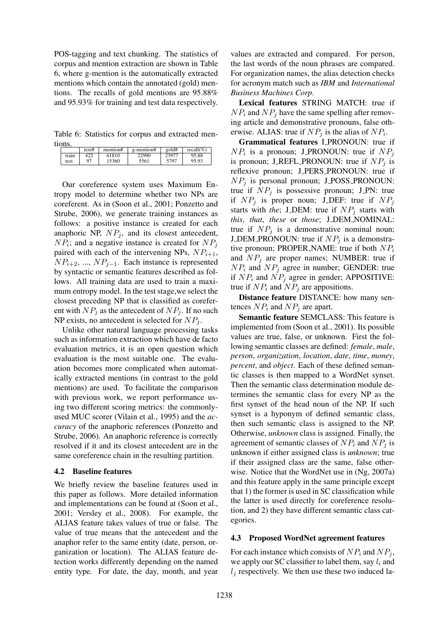POS-tagging and text chunking. The statistics of corpus and mention extraction are shown in Table 6, where g-mention is the automatically extracted mentions which contain the annotated (gold) mentions. The recalls of gold mentions are 95.88% and 95.93% for training and test data respectively.

Table 6: Statistics for corpus and extracted mentions.

|       | text# | mention# | g-mention# | gold# | recall(%) |
|-------|-------|----------|------------|-------|-----------|
| train | ₩∠∠   | 61810    | 2990ء      | 23977 | 95.88     |
| test  | 97    | 15360    | 5561       | 5797  | 95.93     |

Our coreference system uses Maximum Entropy model to determine whether two NPs are coreferent. As in (Soon et al., 2001; Ponzetto and Strube, 2006), we generate training instances as follows: a positive instance is created for each anaphoric NP,  $NP_i$ , and its closest antecedent,  $NP_i$ ; and a negative instance is created for  $NP_j$ paired with each of the intervening NPs,  $NP_{i+1}$ ,  $NP_{i+2}$ , ...,  $NP_{i-1}$ . Each instance is represented by syntactic or semantic features described as follows. All training data are used to train a maximum entropy model. In the test stage,we select the closest preceding NP that is classified as coreferent with  $NP_i$  as the antecedent of  $NP_i$ . If no such NP exists, no antecedent is selected for  $NP_i$ .

Unlike other natural language processing tasks such as information extraction which have de facto evaluation metrics, it is an open question which evaluation is the most suitable one. The evaluation becomes more complicated when automatically extracted mentions (in contrast to the gold mentions) are used. To facilitate the comparison with previous work, we report performance using two different scoring metrics: the commonlyused MUC scorer (Vilain et al., 1995) and the *accuracy* of the anaphoric references (Ponzetto and Strube, 2006). An anaphoric reference is correctly resolved if it and its closest antecedent are in the same coreference chain in the resulting partition.

# **4.2 Baseline features**

We briefly review the baseline features used in this paper as follows. More detailed information and implementations can be found at (Soon et al., 2001; Versley et al., 2008). For example, the ALIAS feature takes values of true or false. The value of true means that the antecedent and the anaphor refer to the same entity (date, person, organization or location). The ALIAS feature detection works differently depending on the named entity type. For date, the day, month, and year values are extracted and compared. For person, the last words of the noun phrases are compared. For organization names, the alias detection checks for acronym match such as *IBM* and *International Business Machines Corp*.

**Lexical features** STRING MATCH: true if  $NP_i$  and  $NP_j$  have the same spelling after removing article and demonstrative pronouns, false otherwise. ALIAS: true if  $NP_j$  is the alias of  $NP_i$ .

**Grammatical features** I PRONOUN: true if  $NP_i$  is a pronoun; J\_PRONOUN: true if  $NP_j$ is pronoun; J\_REFL\_PRONOUN: true if  $NP_i$  is reflexive pronoun; J\_PERS\_PRONOUN: true if  $NP_i$  is personal pronoun; J\_POSS\_PRONOUN: true if  $NP_i$  is possessive pronoun; J\_PN: true if  $NP_j$  is proper noun; J\_DEF: true if  $NP_j$ starts with *the*; J\_DEM: true if  $NP_i$  starts with *this*, *that*, *these* or *those*; J DEM NOMINAL: true if  $NP_i$  is a demonstrative nominal noun; J\_DEM\_PRONOUN: true if  $NP<sub>j</sub>$  is a demonstrative pronoun; PROPER NAME: true if both  $NP_i$ and  $NP_i$  are proper names; NUMBER: true if  $NP_i$  and  $NP_j$  agree in number; GENDER: true if  $NP_i$  and  $NP_j$  agree in gender; APPOSITIVE: true if  $NP_i$  and  $NP_j$  are appositions.

**Distance feature** DISTANCE: how many sentences  $NP_i$  and  $NP_j$  are apart.

**Semantic feature** SEMCLASS: This feature is implemented from (Soon et al., 2001). Its possible values are true, false, or unknown. First the following semantic classes are defined: *female*, *male*, *person*, *organization*, *location*, *date*, *time*, *money*, *percent*, and *object*. Each of these defined semantic classes is then mapped to a WordNet synset. Then the semantic class determination module determines the semantic class for every NP as the first synset of the head noun of the NP. If such synset is a hyponym of defined semantic class, then such semantic class is assigned to the NP. Otherwise, *unknown* class is assigned. Finally, the agreement of semantic classes of  $NP_i$  and  $NP_j$  is unknown if either assigned class is *unknown*; true if their assigned class are the same, false otherwise. Notice that the WordNet use in (Ng, 2007a) and this feature apply in the same principle except that 1) the former is used in SC classification while the latter is used directly for coreference resolution, and 2) they have different semantic class categories.

# **4.3 Proposed WordNet agreement features**

For each instance which consists of  $NP_i$  and  $NP_j$ , we apply our SC classifier to label them, say  $l_i$  and  $l_i$  respectively. We then use these two induced la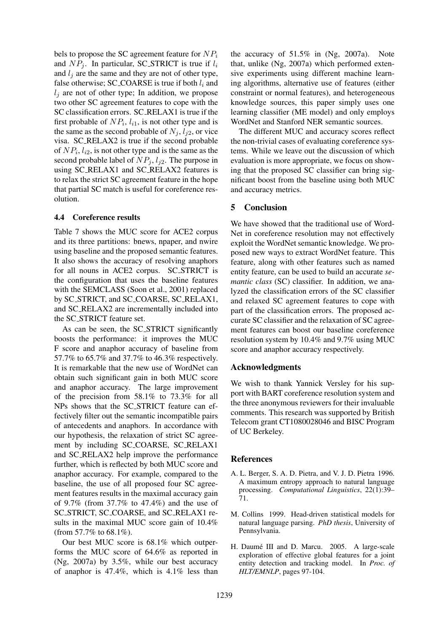bels to propose the SC agreement feature for  $NP_i$ and  $NP_i$ . In particular, SC\_STRICT is true if  $l_i$ and  $l_i$  are the same and they are not of other type, false otherwise; SC\_COARSE is true if both  $l_i$  and  $l_j$  are not of other type; In addition, we propose two other SC agreement features to cope with the SC classification errors. SC RELAX1 is true if the first probable of  $NP_i$ ,  $l_{i1}$ , is not other type and is the same as the second probable of  $N_i$ ,  $l_{i2}$ , or vice visa. SC RELAX2 is true if the second probable of  $NP_i$ ,  $l_{i2}$ , is not other type and is the same as the second probable label of  $NP_i$ ,  $l_{i2}$ . The purpose in using SC RELAX1 and SC RELAX2 features is to relax the strict SC agreement feature in the hope that partial SC match is useful for coreference resolution.

# **4.4 Coreference results**

Table 7 shows the MUC score for ACE2 corpus and its three partitions: bnews, npaper, and nwire using baseline and the proposed semantic features. It also shows the accuracy of resolving anaphors for all nouns in ACE2 corpus. SC STRICT is the configuration that uses the baseline features with the SEMCLASS (Soon et al., 2001) replaced by SC STRICT, and SC COARSE, SC RELAX1, and SC RELAX2 are incrementally included into the SC STRICT feature set.

As can be seen, the SC STRICT significantly boosts the performance: it improves the MUC F score and anaphor accuracy of baseline from 57.7% to 65.7% and 37.7% to 46.3% respectively. It is remarkable that the new use of WordNet can obtain such significant gain in both MUC score and anaphor accuracy. The large improvement of the precision from 58.1% to 73.3% for all NPs shows that the SC STRICT feature can effectively filter out the semantic incompatible pairs of antecedents and anaphors. In accordance with our hypothesis, the relaxation of strict SC agreement by including SC COARSE, SC RELAX1 and SC RELAX2 help improve the performance further, which is reflected by both MUC score and anaphor accuracy. For example, compared to the baseline, the use of all proposed four SC agreement features results in the maximal accuracy gain of 9.7% (from 37.7% to 47.4%) and the use of SC STRICT, SC COARSE, and SC RELAX1 results in the maximal MUC score gain of 10.4% (from 57.7% to 68.1%).

Our best MUC score is 68.1% which outperforms the MUC score of 64.6% as reported in (Ng, 2007a) by 3.5%, while our best accuracy of anaphor is 47.4%, which is 4.1% less than the accuracy of 51.5% in (Ng, 2007a). Note that, unlike (Ng, 2007a) which performed extensive experiments using different machine learning algorithms, alternative use of features (either constraint or normal features), and heterogeneous knowledge sources, this paper simply uses one learning classifier (ME model) and only employs WordNet and Stanford NER semantic sources.

The different MUC and accuracy scores reflect the non-trivial cases of evaluating coreference systems. While we leave out the discussion of which evaluation is more appropriate, we focus on showing that the proposed SC classifier can bring significant boost from the baseline using both MUC and accuracy metrics.

# **5 Conclusion**

We have showed that the traditional use of Word-Net in coreference resolution may not effectively exploit the WordNet semantic knowledge. We proposed new ways to extract WordNet feature. This feature, along with other features such as named entity feature, can be used to build an accurate *semantic class* (SC) classifier. In addition, we analyzed the classification errors of the SC classifier and relaxed SC agreement features to cope with part of the classification errors. The proposed accurate SC classifier and the relaxation of SC agreement features can boost our baseline coreference resolution system by 10.4% and 9.7% using MUC score and anaphor accuracy respectively.

# **Acknowledgments**

We wish to thank Yannick Versley for his support with BART coreference resolution system and the three anonymous reviewers for their invaluable comments. This research was supported by British Telecom grant CT1080028046 and BISC Program of UC Berkeley.

# **References**

- A. L. Berger, S. A. D. Pietra, and V. J. D. Pietra 1996. A maximum entropy approach to natural language processing. *Computational Linguistics*, 22(1):39– 71.
- M. Collins 1999. Head-driven statistical models for natural language parsing. *PhD thesis*, University of Pennsylvania.
- H. Daumé III and D. Marcu. 2005. A large-scale exploration of effective global features for a joint entity detection and tracking model. In *Proc. of HLT/EMNLP*, pages 97-104.